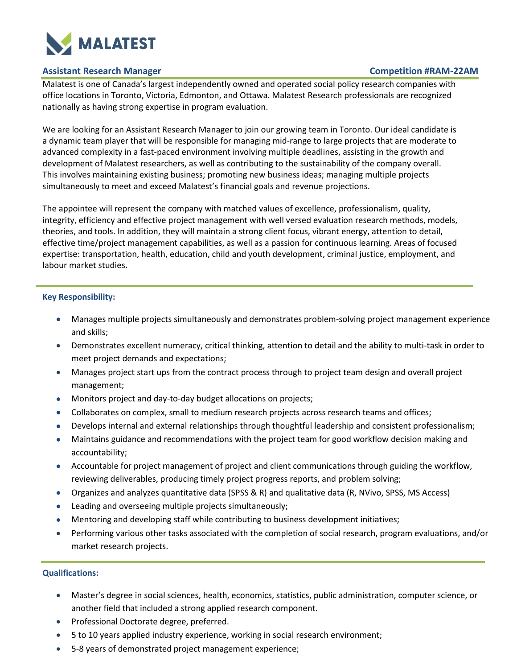

# **Assistant Research Manager Competition #RAM-22AM**

Malatest is one of Canada's largest independently owned and operated social policy research companies with office locations in Toronto, Victoria, Edmonton, and Ottawa. Malatest Research professionals are recognized nationally as having strong expertise in program evaluation.

We are looking for an Assistant Research Manager to join our growing team in Toronto. Our ideal candidate is a dynamic team player that will be responsible for managing mid-range to large projects that are moderate to advanced complexity in a fast-paced environment involving multiple deadlines, assisting in the growth and development of Malatest researchers, as well as contributing to the sustainability of the company overall. This involves maintaining existing business; promoting new business ideas; managing multiple projects simultaneously to meet and exceed Malatest's financial goals and revenue projections.

The appointee will represent the company with matched values of excellence, professionalism, quality, integrity, efficiency and effective project management with well versed evaluation research methods, models, theories, and tools. In addition, they will maintain a strong client focus, vibrant energy, attention to detail, effective time/project management capabilities, as well as a passion for continuous learning. Areas of focused expertise: transportation, health, education, child and youth development, criminal justice, employment, and labour market studies.

# **Key Responsibility:**

- Manages multiple projects simultaneously and demonstrates problem-solving project management experience and skills;
- Demonstrates excellent numeracy, critical thinking, attention to detail and the ability to multi-task in order to meet project demands and expectations;
- Manages project start ups from the contract process through to project team design and overall project management;
- Monitors project and day-to-day budget allocations on projects;
- Collaborates on complex, small to medium research projects across research teams and offices;
- Develops internal and external relationships through thoughtful leadership and consistent professionalism;
- Maintains guidance and recommendations with the project team for good workflow decision making and accountability;
- Accountable for project management of project and client communications through guiding the workflow, reviewing deliverables, producing timely project progress reports, and problem solving;
- Organizes and analyzes quantitative data (SPSS & R) and qualitative data (R, NVivo, SPSS, MS Access)
- Leading and overseeing multiple projects simultaneously;
- Mentoring and developing staff while contributing to business development initiatives;
- Performing various other tasks associated with the completion of social research, program evaluations, and/or market research projects.

# **Qualifications:**

- Master's degree in social sciences, health, economics, statistics, public administration, computer science, or another field that included a strong applied research component.
- Professional Doctorate degree, preferred.
- 5 to 10 years applied industry experience, working in social research environment;
- 5-8 years of demonstrated project management experience;